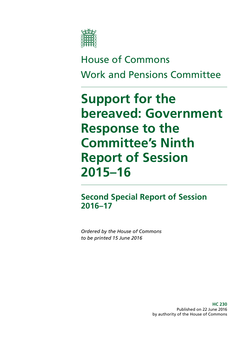

# House of Commons Work and Pensions Committee

# **Support for the bereaved: Government Response to the Committee's Ninth Report of Session 2015–16**

# **Second Special Report of Session 2016–17**

*Ordered by the House of Commons to be printed 15 June 2016*

> **HC 230** Published on 22 June 2016 by authority of the House of Commons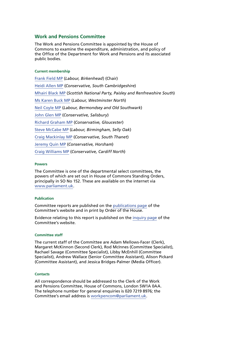## **Work and Pensions Committee**

The Work and Pensions Committee is appointed by the House of Commons to examine the expenditure, administration, and policy of the Office of the Department for Work and Pensions and its associated public bodies.

#### **Current membership**

[Frank Field MP](http://www.parliament.uk/biographies/commons/frank-field/478) (*Labour, Birkenhead*) (Chair) [Heidi Allen MP](http://www.parliament.uk/biographies/commons/heidi-allen/4516) (*Conservative, South Cambridgeshire*) [Mhairi Black MP](http://www.parliament.uk/biographies/commons/mhairi-black/4421) (*Scottish National Party, Paisley and Renfrewshire South*) [Ms Karen Buck MP](http://www.parliament.uk/biographies/commons/ms-karen-buck/199) (*Labour, Westminster North*) [Neil Coyle MP](http://www.parliament.uk/biographies/commons/neil-coyle/4368) (*Labour, Bermondsey and Old Southwark*) [John Glen MP](http://www.parliament.uk/biographies/commons/john-glen/4051) (*Conservative, Salisbury*) [Richard Graham MP](http://www.parliament.uk/biographies/commons/richard-graham/3990) (*Conservative, Gloucester*) [Steve McCabe MP](http://www.parliament.uk/biographies/commons/steve-mccabe/298) (*Labour, Birmingham, Selly Oak*) [Craig Mackinlay MP](http://www.parliament.uk/biographies/commons/craig-mackinlay/4529) (*Conservative, South Thanet*) [Jeremy Quin MP](http://www.parliament.uk/biographies/commons/jeremy-quin/4507) (*Conservative, Horsham*) [Craig Williams MP](http://www.parliament.uk/biographies/commons/craig-williams/4438) (*Conservative, Cardiff North*)

#### **Powers**

The Committee is one of the departmental select committees, the powers of which are set out in House of Commons Standing Orders, principally in SO No 152. These are available on the internet via [www.parliament.uk](http://www.parliament.uk/).

#### **Publication**

Committee reports are published on the [publications page](http://www.parliament.uk/business/committees/committees-a-z/commons-select/work-and-pensions-committee/publications/) of the Committee's website and in print by Order of the House.

Evidence relating to this report is published on the [inquiry page](http://www.parliament.uk/business/committees/committees-a-z/commons-select/work-and-pensions-committee/inquiries/parliament-2015/bereavement-benefits-15-16/) of the Committee's website.

#### **Committee staff**

The current staff of the Committee are Adam Mellows-Facer (Clerk), Margaret McKinnon (Second Clerk), Rod McInnes (Committee Specialist), Rachael Savage (Committee Specialist), Libby McEnhill (Committee Specialist), Andrew Wallace (Senior Committee Assistant), Alison Pickard (Committee Assistant), and Jessica Bridges-Palmer (Media Officer).

#### **Contacts**

All correspondence should be addressed to the Clerk of the Work and Pensions Committee, House of Commons, London SW1A 0AA. The telephone number for general enquiries is 020 7219 8976; the Committee's email address is [workpencom@parliament.uk](mailto:workpencom@parliament.uk).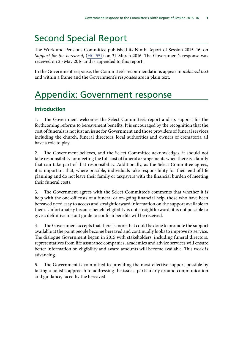# Second Special Report

The Work and Pensions Committee published its Ninth Report of Session 2015–16, on *Support for the bereaved*, [\(HC 551](http://www.publications.parliament.uk/pa/cm201516/cmselect/cmworpen/551/55102.htm)) on 31 March 2016. The Government's response was received on 25 May 2016 and is appended to this report.

In the Government response, the Committee's recommendations appear in *italicised text* and within a frame and the Government's responses are in plain text.

# Appendix: Government response

# **Introduction**

1. The Government welcomes the Select Committee's report and its support for the forthcoming reforms to bereavement benefits. It is encouraged by the recognition that the cost of funerals is not just an issue for Government and those providers of funeral services including the church, funeral directors, local authorities and owners of crematoria all have a role to play.

2. The Government believes, and the Select Committee acknowledges, it should not take responsibility for meeting the full cost of funeral arrangements when there is a family that can take part of that responsibility. Additionally, as the Select Committee agrees, it is important that, where possible, individuals take responsibility for their end of life planning and do not leave their family or taxpayers with the financial burden of meeting their funeral costs.

3. The Government agrees with the Select Committee's comments that whether it is help with the one-off costs of a funeral or on-going financial help, those who have been bereaved need easy to access and straightforward information on the support available to them. Unfortunately because benefit eligibility is not straightforward, it is not possible to give a definitive instant guide to confirm benefits will be received.

4. The Government accepts that there is more that could be done to promote the support available at the point people become bereaved and continually looks to improve its service. The dialogue Government began in 2015 with stakeholders, including funeral directors, representatives from life assurance companies, academics and advice services will ensure better information on eligibility and award amounts will become available. This work is advancing.

5. The Government is committed to providing the most effective support possible by taking a holistic approach to addressing the issues, particularly around communication and guidance, faced by the bereaved.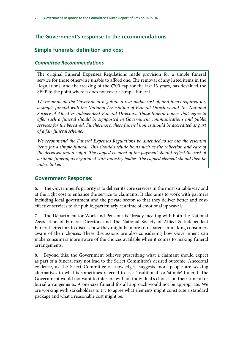# **The Government's response to the recommendations**

# **Simple funerals: definition and cost**

# *Committee Recommendations*

The original Funeral Expenses Regulations made provision for a simple funeral service for those otherwise unable to afford one. The removal of any listed items in the Regulations, and the freezing of the £700 cap for the last 13 years, has devalued the SFFP to the point where it does not cover a simple funeral.

*We recommend the Government negotiate a reasonable cost of, and items required for, a simple funeral with the National Association of Funeral Directors and The National Society of Allied & Independent Funeral Directors. Those funeral homes that agree to offer such a funeral should be signposted in Government communications and public services for the bereaved. Furthermore, these funeral homes should be accredited as part of a fair funeral scheme.*

*We recommend the Funeral Expenses Regulations be amended to set out the essential*  items for a simple funeral. This should include items such as the collection and care of *the deceased and a coffin. The capped element of the payment should reflect the cost of a simple funeral, as negotiated with industry bodies. The capped element should then be index-linked.*

# **Government Response:**

6. The Government's priority is to deliver its core services in the most suitable way and at the right cost to enhance the service to claimants. It also aims to work with partners including local government and the private sector so that they deliver better and costeffective services to the public, particularly at a time of emotional upheaval.

7. The Department for Work and Pensions is already meeting with both the National Association of Funeral Directors and The National Society of Allied & Independent Funeral Directors to discuss how they might be more transparent in making consumers aware of their choices. These discussions are also considering how Government can make consumers more aware of the choices available when it comes to making funeral arrangements.

8. Beyond this, the Government believes prescribing what a claimant should expect as part of a funeral may not lead to the Select Committee's desired outcome. Anecdotal evidence, as the Select Committee acknowledges, suggests more people are seeking alternatives to what is sometimes referred to as a 'traditional' or 'simple' funeral. The Government would not want to interfere with an individual's choices on their funeral or burial arrangements. A one-size funeral fits all approach would not be appropriate. We are working with stakeholders to try to agree what elements might constitute a standard package and what a reasonable cost might be.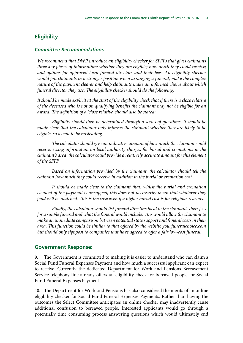# **Eligibility**

### *Committee Recommendations*

*We recommend that DWP introduce an eligibility checker for SFFPs that gives claimants three key pieces of information: whether they are eligible; how much they could receive; and options for approved local funeral directors and their fees. An eligibility checker would put claimants in a stronger position when arranging a funeral, make the complex nature of the payment clearer and help claimants make an informed choice about which funeral director they use. The eligibility checker should do the following:*

*It should be made explicit at the start of the eligibility check that if there is a close relative of the deceased who is not on qualifying benefits the claimant may not be eligible for an award. The definition of a 'close relative' should also be stated;*

*Eligibility should then be determined through a series of questions. It should be made clear that the calculator only informs the claimant whether they are likely to be eligible, so as not to be misleading.*

*The calculator should give an indicative amount of how much the claimant could receive. Using information on local authority charges for burial and cremations in the claimant's area, the calculator could provide a relatively accurate amount for this element of the SFFP.*

*Based on information provided by the claimant, the calculator should tell the claimant how much they could receive in addition to the burial or cremation cost.*

*It should be made clear to the claimant that, whilst the burial and cremation element of the payment is uncapped, this does not necessarily mean that whatever they paid will be matched. This is the case even if a higher burial cost is for religious reasons.*

*Finally, the calculator should list funeral directors local to the claimant, their fees for a simple funeral and what the funeral would include. This would allow the claimant to make an immediate comparison between potential state support and funeral costs in their area. This function could be similar to that offered by the website yourfuneralchoice.com but should only signpost to companies that have agreed to offer a fair low-cost funeral.*

#### **Government Response:**

9. The Government is committed to making it is easier to understand who can claim a Social Fund Funeral Expenses Payment and how much a successful applicant can expect to receive. Currently the dedicated Department for Work and Pensions Bereavement Service telephony line already offers an eligibility check for bereaved people for Social Fund Funeral Expenses Payment.

10. The Department for Work and Pensions has also considered the merits of an online eligibility checker for Social Fund Funeral Expenses Payments. Rather than having the outcomes the Select Committee anticipates an online checker may inadvertently cause additional confusion to bereaved people. Interested applicants would go through a potentially time consuming process answering questions which would ultimately end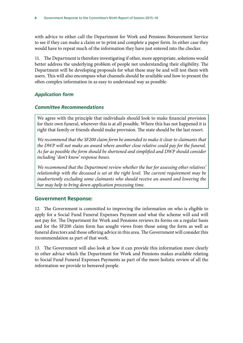with advice to either call the Department for Work and Pensions Bereavement Service to see if they can make a claim or to print and complete a paper form. In either case they would have to repeat much of the information they have just entered into the checker.

11. The Department is therefore investigating if other, more appropriate, solutions would better address the underlying problem of people not understanding their eligibility. The Department will be developing proposals for what these may be and will test them with users. This will also encompass what channels should be available and how to present the often complex information in as easy to understand way as possible.

# *Application form*

# *Committee Recommendations*

We agree with the principle that individuals should look to make financial provision for their own funeral, wherever this is at all possible. Where this has not happened it is right that family or friends should make provision. The state should be the last resort.

*We recommend that the SF200 claim form be amended to make it clear to claimants that the DWP will not make an award where another close relative could pay for the funeral. As far as possible the form should be shortened and simplified and DWP should consider including 'don't know' response boxes.*

*We recommend that the Department review whether the bar for assessing other relatives' relationship with the deceased is set at the right level. The current requirement may be inadvertently excluding some claimants who should receive an award and lowering the bar may help to bring down application processing time.*

# **Government Response:**

12. The Government is committed to improving the information on who is eligible to apply for a Social Fund Funeral Expenses Payment and what the scheme will and will not pay for. The Department for Work and Pensions reviews its forms on a regular basis and for the SF200 claim form has sought views from those using the form as well as funeral directors and those offering advice in this area. The Government will consider this recommendation as part of that work.

13. The Government will also look at how it can provide this information more clearly in other advice which the Department for Work and Pensions makes available relating to Social Fund Funeral Expenses Payments as part of the more holistic review of all the information we provide to bereaved people.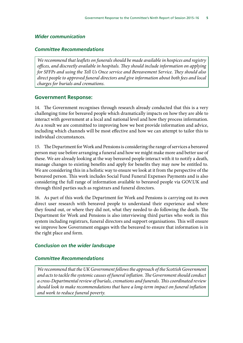#### *Wider communication*

#### *Committee Recommendations*

*We recommend that leaflets on funerals should be made available in hospices and registry offices, and discreetly available in hospitals. They should include information on applying for SFFPs and using the Tell Us Once service and Bereavement Service. They should also direct people to approved funeral directors and give information about both fees and local charges for burials and cremations.*

#### **Government Response:**

14. The Government recognises through research already conducted that this is a very challenging time for bereaved people which dramatically impacts on how they are able to interact with government at a local and national level and how they process information. As a result we are committed to improving how we best provide information and advice, including which channels will be most effective and how we can attempt to tailor this to individual circumstances.

15. The Department for Work and Pensions is considering the range of services a bereaved person may use before arranging a funeral and how we might make more and better use of these. We are already looking at the way bereaved people interact with it to notify a death, manage changes to existing benefits and apply for benefits they may now be entitled to. We are considering this in a holistic way to ensure we look at it from the perspective of the bereaved person. This work includes Social Fund Funeral Expenses Payments and is also considering the full range of information available to bereaved people via GOV.UK and through third parties such as registrars and funeral directors.

16. As part of this work the Department for Work and Pensions is carrying out its own direct user research with bereaved people to understand their experience and where they found out, or where they did not, what they needed to do following the death. The Department for Work and Pensions is also interviewing third parties who work in this system including registrars, funeral directors and support organisations. This will ensure we improve how Government engages with the bereaved to ensure that information is in the right place and form.

### *Conclusion on the wider landscape*

#### *Committee Recommendations*

*We recommend that the UK Government follows the approach of the Scottish Government and acts to tackle the systemic causes of funeral inflation. The Government should conduct a cross-Departmental review of burials, cremations and funerals. This coordinated review should look to make recommendations that have a long-term impact on funeral inflation and work to reduce funeral poverty.*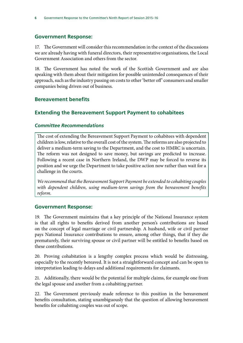# **Government Response:**

17. The Government will consider this recommendation in the context of the discussions we are already having with funeral directors, their representative organisations, the Local Government Association and others from the sector.

18. The Government has noted the work of the Scottish Government and are also speaking with them about their mitigation for possible unintended consequences of their approach, such as the industry passing on costs to other 'better off' consumers and smaller companies being driven out of business.

# **Bereavement benefits**

# **Extending the Bereavement Support Payment to cohabitees**

# *Committee Recommendations*

The cost of extending the Bereavement Support Payment to cohabitees with dependent children is low, relative to the overall cost of the system. The reforms are also projected to deliver a medium-term saving to the Department, and the cost to HMRC is uncertain. The reform was not designed to save money, but savings are predicted to increase. Following a recent case in Northern Ireland, the DWP may be forced to reverse its position and we urge the Department to take positive action now rather than wait for a challenge in the courts.

*We recommend that the Bereavement Support Payment be extended to cohabiting couples with dependent children, using medium-term savings from the bereavement benefits reform.*

## **Government Response:**

19. The Government maintains that a key principle of the National Insurance system is that all rights to benefits derived from another person's contributions are based on the concept of legal marriage or civil partnership. A husband, wife or civil partner pays National Insurance contributions to ensure, among other things, that if they die prematurely, their surviving spouse or civil partner will be entitled to benefits based on these contributions.

20. Proving cohabitation is a lengthy complex process which would be distressing, especially to the recently bereaved. It is not a straightforward concept and can be open to interpretation leading to delays and additional requirements for claimants.

21. Additionally, there would be the potential for multiple claims, for example one from the legal spouse and another from a cohabiting partner.

22. The Government previously made reference to this position in the bereavement benefits consultation, stating unambiguously that the question of allowing bereavement benefits for cohabiting couples was out of scope.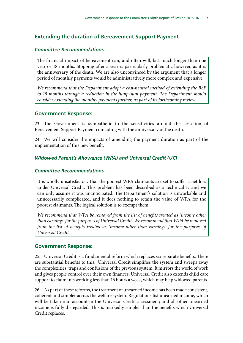# **Extending the duration of Bereavement Support Payment**

### *Committee Recommendations*

The financial impact of bereavement can, and often will, last much longer than one year or 18 months. Stopping after a year is particularly problematic however, as it is the anniversary of the death. We are also unconvinced by the argument that a longer period of monthly payments would be administratively more complex and expensive.

*We recommend that the Department adopt a cost-neutral method of extending the BSP to 18 months through a reduction in the lump-sum payment. The Department should consider extending the monthly payments further, as part of its forthcoming review.*

### **Government Response:**

23. The Government is sympathetic to the sensitivities around the cessation of Bereavement Support Payment coinciding with the anniversary of the death.

24. We will consider the impacts of amending the payment duration as part of the implementation of this new benefit.

## *Widowed Parent's Allowance (WPA) and Universal Credit (UC)*

## *Committee Recommendations*

It is wholly unsatisfactory that the poorest WPA claimants are set to suffer a net loss under Universal Credit. This problem has been described as a technicality and we can only assume it was unanticipated. The Department's solution is unworkable and unnecessarily complicated, and it does nothing to retain the value of WPA for the poorest claimants. The logical solution is to exempt them.

*We recommend that WPA be removed from the list of benefits treated as 'income other than earnings' for the purposes of Universal Credit. We recommend that WPA be removed from the list of benefits treated as 'income other than earnings' for the purposes of Universal Credit.*

#### **Government Response:**

25. Universal Credit is a fundamental reform which replaces six separate benefits. There are substantial benefits to this. Universal Credit simplifies the system and sweeps away the complexities, traps and confusions of the previous system. It mirrors the world of work and gives people control over their own finances. Universal Credit also extends child care support to claimants working less than 16 hours a week, which may help widowed parents.

26. As part of these reforms, the treatment of unearned income has been made consistent, coherent and simpler across the welfare system. Regulations list unearned income, which will be taken into account in the Universal Credit assessment; and all other unearned income is fully disregarded. This is markedly simpler than the benefits which Universal Credit replaces.